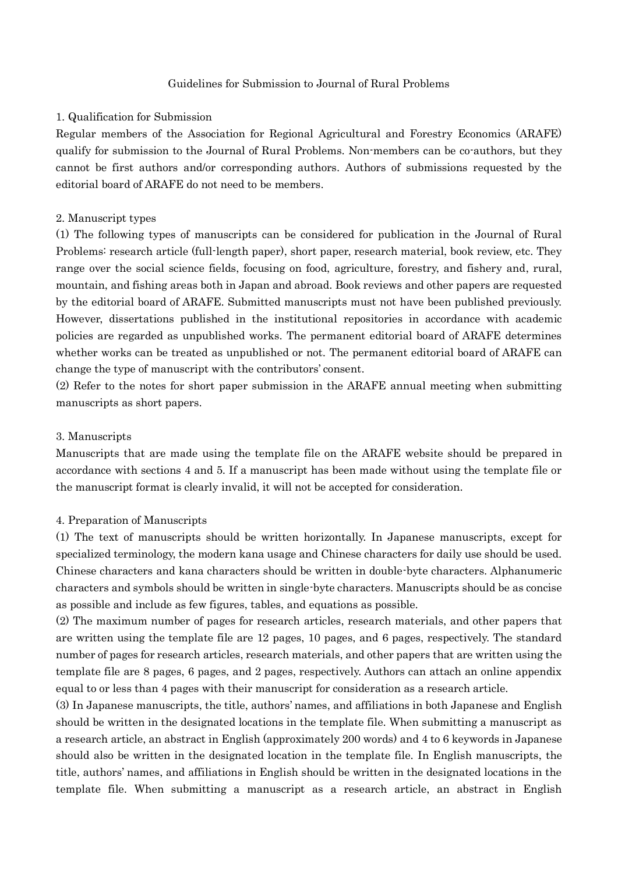### Guidelines for Submission to Journal of Rural Problems

#### 1. Qualification for Submission

Regular members of the Association for Regional Agricultural and Forestry Economics (ARAFE) qualify for submission to the Journal of Rural Problems. Non-members can be co-authors, but they cannot be first authors and/or corresponding authors. Authors of submissions requested by the editorial board of ARAFE do not need to be members.

### 2. Manuscript types

(1) The following types of manuscripts can be considered for publication in the Journal of Rural Problems: research article (full-length paper), short paper, research material, book review, etc. They range over the social science fields, focusing on food, agriculture, forestry, and fishery and, rural, mountain, and fishing areas both in Japan and abroad. Book reviews and other papers are requested by the editorial board of ARAFE. Submitted manuscripts must not have been published previously. However, dissertations published in the institutional repositories in accordance with academic policies are regarded as unpublished works. The permanent editorial board of ARAFE determines whether works can be treated as unpublished or not. The permanent editorial board of ARAFE can change the type of manuscript with the contributors' consent.

(2) Refer to the notes for short paper submission in the ARAFE annual meeting when submitting manuscripts as short papers.

#### 3. Manuscripts

Manuscripts that are made using the template file on the ARAFE website should be prepared in accordance with sections 4 and 5. If a manuscript has been made without using the template file or the manuscript format is clearly invalid, it will not be accepted for consideration.

#### 4. Preparation of Manuscripts

(1) The text of manuscripts should be written horizontally. In Japanese manuscripts, except for specialized terminology, the modern kana usage and Chinese characters for daily use should be used. Chinese characters and kana characters should be written in double-byte characters. Alphanumeric characters and symbols should be written in single-byte characters. Manuscripts should be as concise as possible and include as few figures, tables, and equations as possible.

(2) The maximum number of pages for research articles, research materials, and other papers that are written using the template file are 12 pages, 10 pages, and 6 pages, respectively. The standard number of pages for research articles, research materials, and other papers that are written using the template file are 8 pages, 6 pages, and 2 pages, respectively. Authors can attach an online appendix equal to or less than 4 pages with their manuscript for consideration as a research article.

(3) In Japanese manuscripts, the title, authors' names, and affiliations in both Japanese and English should be written in the designated locations in the template file. When submitting a manuscript as a research article, an abstract in English (approximately 200 words) and 4 to 6 keywords in Japanese should also be written in the designated location in the template file. In English manuscripts, the title, authors' names, and affiliations in English should be written in the designated locations in the template file. When submitting a manuscript as a research article, an abstract in English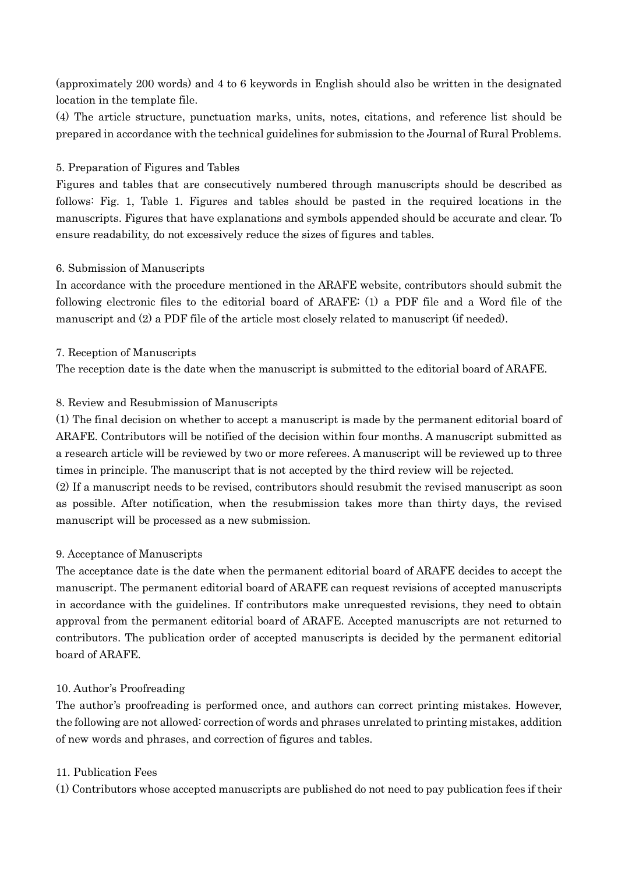(approximately 200 words) and 4 to 6 keywords in English should also be written in the designated location in the template file.

(4) The article structure, punctuation marks, units, notes, citations, and reference list should be prepared in accordance with the technical guidelines for submission to the Journal of Rural Problems.

# 5. Preparation of Figures and Tables

Figures and tables that are consecutively numbered through manuscripts should be described as follows: Fig. 1, Table 1. Figures and tables should be pasted in the required locations in the manuscripts. Figures that have explanations and symbols appended should be accurate and clear. To ensure readability, do not excessively reduce the sizes of figures and tables.

## 6. Submission of Manuscripts

In accordance with the procedure mentioned in the ARAFE website, contributors should submit the following electronic files to the editorial board of ARAFE: (1) a PDF file and a Word file of the manuscript and (2) a PDF file of the article most closely related to manuscript (if needed).

## 7. Reception of Manuscripts

The reception date is the date when the manuscript is submitted to the editorial board of ARAFE.

# 8. Review and Resubmission of Manuscripts

(1) The final decision on whether to accept a manuscript is made by the permanent editorial board of ARAFE. Contributors will be notified of the decision within four months. A manuscript submitted as a research article will be reviewed by two or more referees. A manuscript will be reviewed up to three times in principle. The manuscript that is not accepted by the third review will be rejected.

(2) If a manuscript needs to be revised, contributors should resubmit the revised manuscript as soon as possible. After notification, when the resubmission takes more than thirty days, the revised manuscript will be processed as a new submission.

### 9. Acceptance of Manuscripts

The acceptance date is the date when the permanent editorial board of ARAFE decides to accept the manuscript. The permanent editorial board of ARAFE can request revisions of accepted manuscripts in accordance with the guidelines. If contributors make unrequested revisions, they need to obtain approval from the permanent editorial board of ARAFE. Accepted manuscripts are not returned to contributors. The publication order of accepted manuscripts is decided by the permanent editorial board of ARAFE.

### 10. Author's Proofreading

The author's proofreading is performed once, and authors can correct printing mistakes. However, the following are not allowed: correction of words and phrases unrelated to printing mistakes, addition of new words and phrases, and correction of figures and tables.

### 11. Publication Fees

(1) Contributors whose accepted manuscripts are published do not need to pay publication fees if their